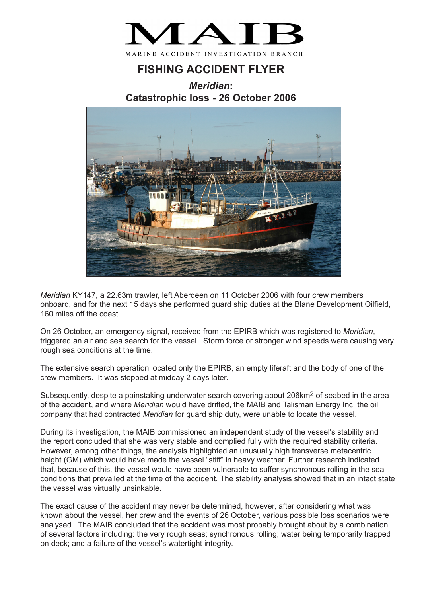

## **FISHING ACCIDENT FLYER**

*Meridian***: Catastrophic loss - 26 October 2006**



*Meridian* KY147, a 22.63m trawler, left Aberdeen on 11 October 2006 with four crew members onboard, and for the next 15 days she performed guard ship duties at the Blane Development Oilfield, 160 miles off the coast.

On 26 October, an emergency signal, received from the EPIRB which was registered to *Meridian*, triggered an air and sea search for the vessel. Storm force or stronger wind speeds were causing very rough sea conditions at the time.

The extensive search operation located only the EPIRB, an empty liferaft and the body of one of the crew members. It was stopped at midday 2 days later.

Subsequently, despite a painstaking underwater search covering about 206km<sup>2</sup> of seabed in the area of the accident, and where *Meridian* would have drifted, the MAIB and Talisman Energy Inc, the oil company that had contracted *Meridian* for guard ship duty, were unable to locate the vessel.

During its investigation, the MAIB commissioned an independent study of the vessel's stability and the report concluded that she was very stable and complied fully with the required stability criteria. However, among other things, the analysis highlighted an unusually high transverse metacentric height (GM) which would have made the vessel "stiff" in heavy weather. Further research indicated that, because of this, the vessel would have been vulnerable to suffer synchronous rolling in the sea conditions that prevailed at the time of the accident. The stability analysis showed that in an intact state the vessel was virtually unsinkable.

The exact cause of the accident may never be determined, however, after considering what was known about the vessel, her crew and the events of 26 October, various possible loss scenarios were analysed. The MAIB concluded that the accident was most probably brought about by a combination of several factors including: the very rough seas; synchronous rolling; water being temporarily trapped on deck; and a failure of the vessel's watertight integrity.